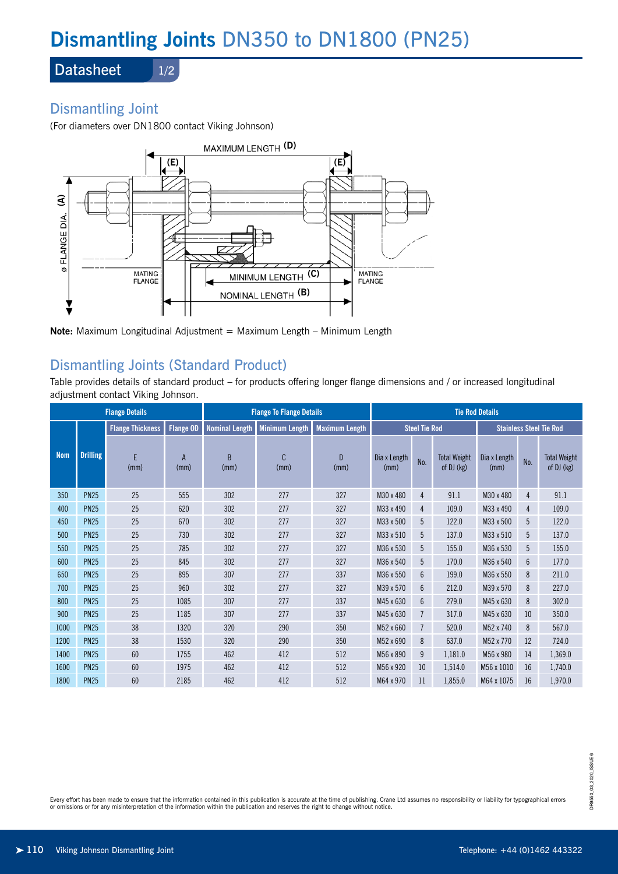# **Dismantling Joints** DN350 to DN1800 (PN25)

**Datasheet** 

#### 1/2

# Dismantling Joint

(For diameters over DN1800 contact Viking Johnson)



**Note:** Maximum Longitudinal Adjustment = Maximum Length – Minimum Length

## Dismantling Joints (Standard Product)

Table provides details of standard product – for products offering longer flange dimensions and / or increased longitudinal adjustment contact Viking Johnson.

| <b>Flange Details</b> |                 |                         |           | <b>Flange To Flange Details</b> |                       |                        | <b>Tie Rod Details</b> |                 |                                   |                                |     |                                   |
|-----------------------|-----------------|-------------------------|-----------|---------------------------------|-----------------------|------------------------|------------------------|-----------------|-----------------------------------|--------------------------------|-----|-----------------------------------|
|                       |                 | <b>Flange Thickness</b> | Flange OD | <b>Nominal Length</b>           | <b>Minimum Length</b> | <b>Maximum Length</b>  | <b>Steel Tie Rod</b>   |                 |                                   | <b>Stainless Steel Tie Rod</b> |     |                                   |
| <b>Nom</b>            | <b>Drilling</b> | F<br>(mm)               | A<br>(mm) | <sub>R</sub><br>(mm)            | C<br>(mm)             | $\overline{D}$<br>(mm) | Dia x Length<br>(mm)   | No.             | <b>Total Weight</b><br>of DJ (kg) | Dia x Length<br>(mm)           | No. | <b>Total Weight</b><br>of DJ (kg) |
| 350                   | <b>PN25</b>     | 25                      | 555       | 302                             | 277                   | 327                    | M30 x 480              | 4               | 91.1                              | M30 x 480                      | 4   | 91.1                              |
| 400                   | <b>PN25</b>     | 25                      | 620       | 302                             | 277                   | 327                    | M33 x 490              | 4               | 109.0                             | M33 x 490                      | 4   | 109.0                             |
| 450                   | <b>PN25</b>     | 25                      | 670       | 302                             | 277                   | 327                    | M33 x 500              | 5               | 122.0                             | M33 x 500                      | 5   | 122.0                             |
| 500                   | <b>PN25</b>     | 25                      | 730       | 302                             | 277                   | 327                    | M33 x 510              | 5               | 137.0                             | M33 x 510                      | 5   | 137.0                             |
| 550                   | <b>PN25</b>     | 25                      | 785       | 302                             | 277                   | 327                    | M36 x 530              | 5               | 155.0                             | M36 x 530                      | 5   | 155.0                             |
| 600                   | <b>PN25</b>     | 25                      | 845       | 302                             | 277                   | 327                    | M36 x 540              | 5               | 170.0                             | M36 x 540                      | 6   | 177.0                             |
| 650                   | <b>PN25</b>     | 25                      | 895       | 307                             | 277                   | 337                    | M36 x 550              | $6\overline{6}$ | 199.0                             | M36 x 550                      | 8   | 211.0                             |
| 700                   | <b>PN25</b>     | 25                      | 960       | 302                             | 277                   | 327                    | M39 x 570              | $6\phantom{.}6$ | 212.0                             | M39 x 570                      | 8   | 227.0                             |
| 800                   | <b>PN25</b>     | 25                      | 1085      | 307                             | 277                   | 337                    | M45 x 630              | $6\phantom{.}6$ | 279.0                             | M45 x 630                      | 8   | 302.0                             |
| 900                   | <b>PN25</b>     | 25                      | 1185      | 307                             | 277                   | 337                    | M45 x 630              | $\overline{7}$  | 317.0                             | M45 x 630                      | 10  | 350.0                             |
| 1000                  | <b>PN25</b>     | 38                      | 1320      | 320                             | 290                   | 350                    | M52 x 660              | $\overline{7}$  | 520.0                             | M52 x 740                      | 8   | 567.0                             |
| 1200                  | <b>PN25</b>     | 38                      | 1530      | 320                             | 290                   | 350                    | M52 x 690              | 8               | 637.0                             | M52 x 770                      | 12  | 724.0                             |
| 1400                  | <b>PN25</b>     | 60                      | 1755      | 462                             | 412                   | 512                    | M56 x 890              | 9               | 1,181.0                           | M56 x 980                      | 14  | 1,369.0                           |
| 1600                  | <b>PN25</b>     | 60                      | 1975      | 462                             | 412                   | 512                    | M56 x 920              | 10              | 1,514.0                           | M56 x 1010                     | 16  | 1,740.0                           |
| 1800                  | <b>PN25</b>     | 60                      | 2185      | 462                             | 412                   | 512                    | M64 x 970              | 11              | 1.855.0                           | M64 x 1075                     | 16  | 1,970.0                           |

Every effort has been made to ensure that the information contained in this publication is accurate at the time of publishing. Crane Ltd assumes no responsibility or liability for typographical errors or omissions or for any misinterpretation of the information within the publication and reserves the right to change without notice.